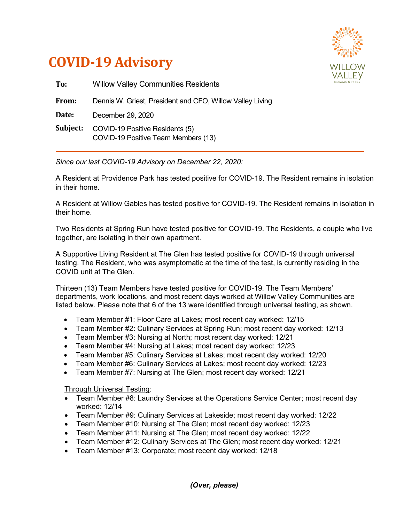



| To:      | <b>Willow Valley Communities Residents</b>                             |
|----------|------------------------------------------------------------------------|
| From:    | Dennis W. Griest, President and CFO, Willow Valley Living              |
| Date:    | December 29, 2020                                                      |
| Subject: | COVID-19 Positive Residents (5)<br>COVID-19 Positive Team Members (13) |

*Since our last COVID-19 Advisory on December 22, 2020:*

A Resident at Providence Park has tested positive for COVID-19. The Resident remains in isolation in their home.

A Resident at Willow Gables has tested positive for COVID-19. The Resident remains in isolation in their home.

Two Residents at Spring Run have tested positive for COVID-19. The Residents, a couple who live together, are isolating in their own apartment.

A Supportive Living Resident at The Glen has tested positive for COVID-19 through universal testing. The Resident, who was asymptomatic at the time of the test, is currently residing in the COVID unit at The Glen.

Thirteen (13) Team Members have tested positive for COVID-19. The Team Members' departments, work locations, and most recent days worked at Willow Valley Communities are listed below. Please note that 6 of the 13 were identified through universal testing, as shown.

- Team Member #1: Floor Care at Lakes; most recent day worked: 12/15
- Team Member #2: Culinary Services at Spring Run; most recent day worked: 12/13
- Team Member #3: Nursing at North; most recent day worked: 12/21
- Team Member #4: Nursing at Lakes; most recent day worked: 12/23
- Team Member #5: Culinary Services at Lakes; most recent day worked: 12/20
- Team Member #6: Culinary Services at Lakes; most recent day worked: 12/23
- Team Member #7: Nursing at The Glen; most recent day worked: 12/21

Through Universal Testing:

- Team Member #8: Laundry Services at the Operations Service Center; most recent day worked: 12/14
- Team Member #9: Culinary Services at Lakeside; most recent day worked: 12/22
- Team Member #10: Nursing at The Glen; most recent day worked: 12/23
- Team Member #11: Nursing at The Glen; most recent day worked: 12/22
- Team Member #12: Culinary Services at The Glen; most recent day worked: 12/21
- Team Member #13: Corporate; most recent day worked: 12/18